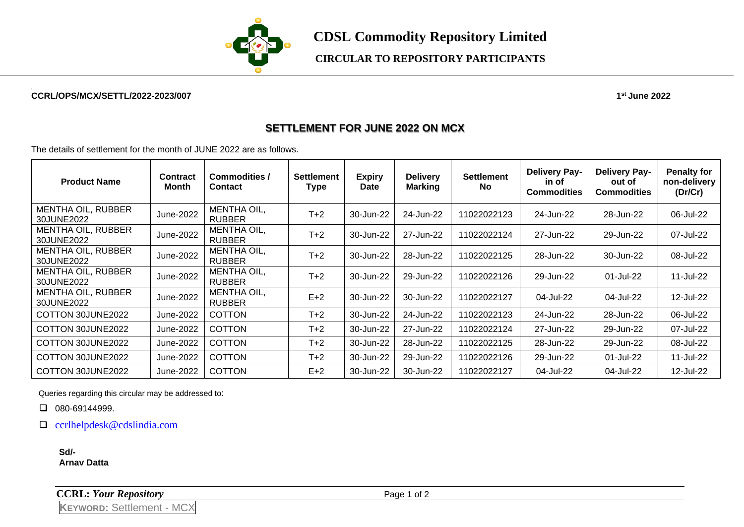

**CDSL Commodity Repository Limited**

## **CIRCULAR TO REPOSITORY PARTICIPANTS**

## **2 CCRL/OPS/MCX/SETTL/2022-2023/007 1**

**st June 2022**

## **SETTLEMENT FOR JUNE 2022 ON MCX**

The details of settlement for the month of JUNE 2022 are as follows.

| <b>Product Name</b>                     | <b>Contract</b><br>Month | Commodities /<br><b>Contact</b>     | <b>Settlement</b><br>Type | <b>Expiry</b><br><b>Date</b> | <b>Delivery</b><br><b>Marking</b> | <b>Settlement</b><br><b>No</b> | <b>Delivery Pay-</b><br>in of<br><b>Commodities</b> | <b>Delivery Pay-</b><br>out of<br><b>Commodities</b> | <b>Penalty for</b><br>non-delivery<br>(Dr/Cr) |
|-----------------------------------------|--------------------------|-------------------------------------|---------------------------|------------------------------|-----------------------------------|--------------------------------|-----------------------------------------------------|------------------------------------------------------|-----------------------------------------------|
| <b>MENTHA OIL, RUBBER</b><br>30JUNE2022 | June-2022                | <b>MENTHA OIL,</b><br><b>RUBBER</b> | $T+2$                     | 30-Jun-22                    | 24-Jun-22                         | 11022022123                    | 24-Jun-22                                           | 28-Jun-22                                            | 06-Jul-22                                     |
| <b>MENTHA OIL, RUBBER</b><br>30JUNE2022 | June-2022                | MENTHA OIL,<br><b>RUBBER</b>        | $T+2$                     | 30-Jun-22                    | 27-Jun-22                         | 11022022124                    | 27-Jun-22                                           | 29-Jun-22                                            | 07-Jul-22                                     |
| <b>MENTHA OIL, RUBBER</b><br>30JUNE2022 | June-2022                | <b>MENTHA OIL,</b><br><b>RUBBER</b> | $T+2$                     | 30-Jun-22                    | 28-Jun-22                         | 11022022125                    | 28-Jun-22                                           | 30-Jun-22                                            | 08-Jul-22                                     |
| <b>MENTHA OIL, RUBBER</b><br>30JUNE2022 | June-2022                | MENTHA OIL.<br><b>RUBBER</b>        | $T+2$                     | 30-Jun-22                    | 29-Jun-22                         | 11022022126                    | 29-Jun-22                                           | 01-Jul-22                                            | 11-Jul-22                                     |
| <b>MENTHA OIL, RUBBER</b><br>30JUNE2022 | June-2022                | <b>MENTHA OIL,</b><br><b>RUBBER</b> | $E+2$                     | 30-Jun-22                    | 30-Jun-22                         | 11022022127                    | 04-Jul-22                                           | 04-Jul-22                                            | 12-Jul-22                                     |
| COTTON 30JUNE2022                       | June-2022                | <b>COTTON</b>                       | $T+2$                     | 30-Jun-22                    | 24-Jun-22                         | 11022022123                    | 24-Jun-22                                           | 28-Jun-22                                            | 06-Jul-22                                     |
| COTTON 30JUNE2022                       | June-2022                | <b>COTTON</b>                       | $T+2$                     | 30-Jun-22                    | 27-Jun-22                         | 11022022124                    | 27-Jun-22                                           | 29-Jun-22                                            | 07-Jul-22                                     |
| COTTON 30JUNE2022                       | June-2022                | <b>COTTON</b>                       | $T+2$                     | 30-Jun-22                    | 28-Jun-22                         | 11022022125                    | 28-Jun-22                                           | 29-Jun-22                                            | 08-Jul-22                                     |
| COTTON 30JUNE2022                       | June-2022                | <b>COTTON</b>                       | $T+2$                     | 30-Jun-22                    | 29-Jun-22                         | 11022022126                    | 29-Jun-22                                           | 01-Jul-22                                            | 11-Jul-22                                     |
| COTTON 30JUNE2022                       | June-2022                | <b>COTTON</b>                       | $E+2$                     | 30-Jun-22                    | 30-Jun-22                         | 11022022127                    | 04-Jul-22                                           | 04-Jul-22                                            | 12-Jul-22                                     |

Queries regarding this circular may be addressed to:

❑ 080-69144999.

❑ [ccrlhelpdesk@cdslindia.com](mailto:ccrlhelpdesk@cdslindia.com)

**Sd/- Arnav Datta**

| <b>CCRL: Your Repository</b> |  |
|------------------------------|--|
|------------------------------|--|

Page 1 of 2